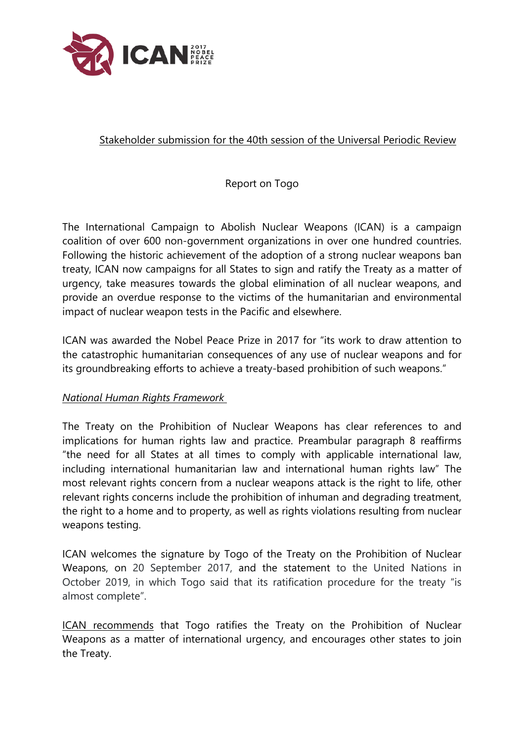

## Stakeholder submission for the 40th session of the Universal Periodic Review

Report on Togo

The International Campaign to Abolish Nuclear Weapons (ICAN) is <sup>a</sup> campaign coalition of over 600 non-governmen<sup>t</sup> organizations in over one hundred countries. Following the historic achievement of the adoption of <sup>a</sup> strong nuclear weapons ban treaty, ICAN now campaigns for all States to sign and ratify the Treaty as <sup>a</sup> matter of urgency, take measures towards the global elimination of all nuclear weapons, and provide an overdue response to the victims of the humanitarian and environmental impact of nuclear weapon tests in the Pacific and elsewhere.

ICAN was awarded the Nobel Peace Prize in 2017 for "its work to draw attention to the catastrophic humanitarian consequences of any use of nuclear weapons and for its groundbreaking efforts to achieve <sup>a</sup> treaty-based prohibition of such weapons."

## *National Human Rights Framework*

The Treaty on the Prohibition of Nuclear Weapons has clear references to and implications for human rights law and practice. Preambular paragraph 8 reaffirms "the need for all States at all times to comply with applicable international law, including international humanitarian law and international human rights law" The most relevant rights concern from <sup>a</sup> nuclear weapons attack is the right to life, other relevant rights concerns include the prohibition of inhuman and degrading treatment, the right to <sup>a</sup> home and to property, as well as rights violations resulting from nuclear weapons testing.

ICAN welcomes the signature by Togo of the Treaty on the Prohibition of Nuclear Weapons, on 20 September 2017, and the statement to the United Nations in October 2019, in which Togo said that its ratification procedure for the treaty "is almost complete".

ICAN recommends that Togo ratifies the Treaty on the Prohibition of Nuclear Weapons as <sup>a</sup> matter of international urgency, and encourages other states to join the Treaty.